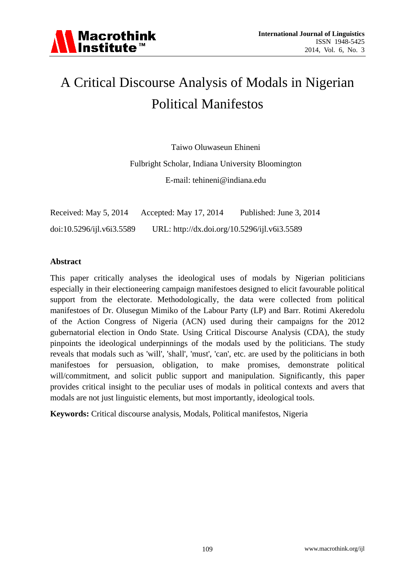

# A Critical Discourse Analysis of Modals in Nigerian Political Manifestos

Taiwo Oluwaseun Ehineni

Fulbright Scholar, Indiana University Bloomington

E-mail: tehineni@indiana.edu

Received: May 5, 2014 Accepted: May 17, 2014 Published: June 3, 2014 doi:10.5296/ijl.v6i3.5589 URL: http://dx.doi.org/10.5296/ijl.v6i3.5589

#### **Abstract**

This paper critically analyses the ideological uses of modals by Nigerian politicians especially in their electioneering campaign manifestoes designed to elicit favourable political support from the electorate. Methodologically, the data were collected from political manifestoes of Dr. Olusegun Mimiko of the Labour Party (LP) and Barr. Rotimi Akeredolu of the Action Congress of Nigeria (ACN) used during their campaigns for the 2012 gubernatorial election in Ondo State. Using Critical Discourse Analysis (CDA), the study pinpoints the ideological underpinnings of the modals used by the politicians. The study reveals that modals such as 'will', 'shall', 'must', 'can', etc. are used by the politicians in both manifestoes for persuasion, obligation, to make promises, demonstrate political will/commitment, and solicit public support and manipulation. Significantly, this paper provides critical insight to the peculiar uses of modals in political contexts and avers that modals are not just linguistic elements, but most importantly, ideological tools.

**Keywords:** Critical discourse analysis, Modals, Political manifestos, Nigeria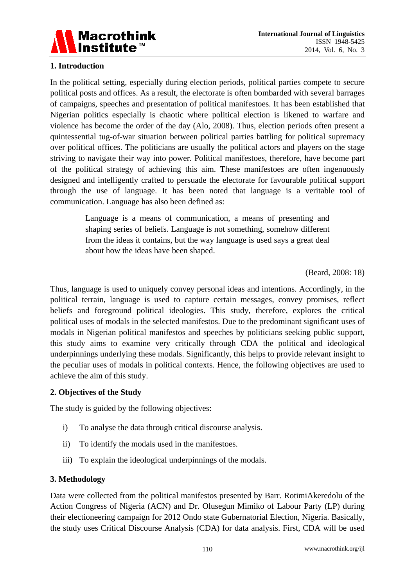

## **1. Introduction**

In the political setting, especially during election periods, political parties compete to secure political posts and offices. As a result, the electorate is often bombarded with several barrages of campaigns, speeches and presentation of political manifestoes. It has been established that Nigerian politics especially is chaotic where political election is likened to warfare and violence has become the order of the day (Alo, 2008). Thus, election periods often present a quintessential tug-of-war situation between political parties battling for political supremacy over political offices. The politicians are usually the political actors and players on the stage striving to navigate their way into power. Political manifestoes, therefore, have become part of the political strategy of achieving this aim. These manifestoes are often ingenuously designed and intelligently crafted to persuade the electorate for favourable political support through the use of language. It has been noted that language is a veritable tool of communication. Language has also been defined as:

> Language is a means of communication, a means of presenting and shaping series of beliefs. Language is not something, somehow different from the ideas it contains, but the way language is used says a great deal about how the ideas have been shaped.

> > (Beard, 2008: 18)

Thus, language is used to uniquely convey personal ideas and intentions. Accordingly, in the political terrain, language is used to capture certain messages, convey promises, reflect beliefs and foreground political ideologies. This study, therefore, explores the critical political uses of modals in the selected manifestos. Due to the predominant significant uses of modals in Nigerian political manifestos and speeches by politicians seeking public support, this study aims to examine very critically through CDA the political and ideological underpinnings underlying these modals. Significantly, this helps to provide relevant insight to the peculiar uses of modals in political contexts. Hence, the following objectives are used to achieve the aim of this study.

## **2. Objectives of the Study**

The study is guided by the following objectives:

- i) To analyse the data through critical discourse analysis.
- ii) To identify the modals used in the manifestoes.
- iii) To explain the ideological underpinnings of the modals.

## **3. Methodology**

Data were collected from the political manifestos presented by Barr. RotimiAkeredolu of the Action Congress of Nigeria (ACN) and Dr. Olusegun Mimiko of Labour Party (LP) during their electioneering campaign for 2012 Ondo state Gubernatorial Election, Nigeria. Basically, the study uses Critical Discourse Analysis (CDA) for data analysis. First, CDA will be used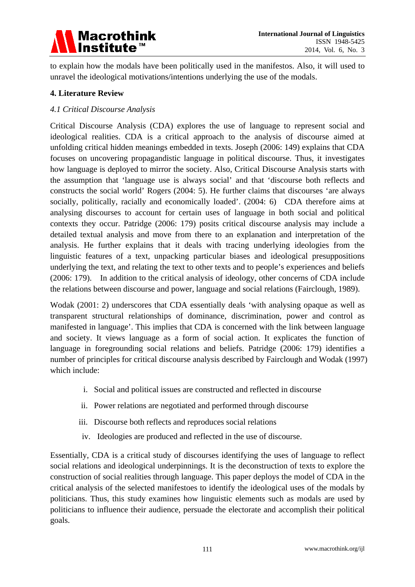

to explain how the modals have been politically used in the manifestos. Also, it will used to unravel the ideological motivations/intentions underlying the use of the modals.

## **4. Literature Review**

#### *4.1 Critical Discourse Analysis*

Critical Discourse Analysis (CDA) explores the use of language to represent social and ideological realities. CDA is a critical approach to the analysis of discourse aimed at unfolding critical hidden meanings embedded in texts. Joseph (2006: 149) explains that CDA focuses on uncovering propagandistic language in political discourse. Thus, it investigates how language is deployed to mirror the society. Also, Critical Discourse Analysis starts with the assumption that 'language use is always social' and that 'discourse both reflects and constructs the social world' Rogers (2004: 5). He further claims that discourses 'are always socially, politically, racially and economically loaded'. (2004: 6) CDA therefore aims at analysing discourses to account for certain uses of language in both social and political contexts they occur. Patridge (2006: 179) posits critical discourse analysis may include a detailed textual analysis and move from there to an explanation and interpretation of the analysis. He further explains that it deals with tracing underlying ideologies from the linguistic features of a text, unpacking particular biases and ideological presuppositions underlying the text, and relating the text to other texts and to people's experiences and beliefs (2006: 179). In addition to the critical analysis of ideology, other concerns of CDA include the relations between discourse and power, language and social relations (Fairclough, 1989).

Wodak (2001: 2) underscores that CDA essentially deals 'with analysing opaque as well as transparent structural relationships of dominance, discrimination, power and control as manifested in language'. This implies that CDA is concerned with the link between language and society. It views language as a form of social action. It explicates the function of language in foregrounding social relations and beliefs. Patridge (2006: 179) identifies a number of principles for critical discourse analysis described by Fairclough and Wodak (1997) which include:

- i. Social and political issues are constructed and reflected in discourse
- ii. Power relations are negotiated and performed through discourse
- iii. Discourse both reflects and reproduces social relations
- iv. Ideologies are produced and reflected in the use of discourse.

Essentially, CDA is a critical study of discourses identifying the uses of language to reflect social relations and ideological underpinnings. It is the deconstruction of texts to explore the construction of social realities through language. This paper deploys the model of CDA in the critical analysis of the selected manifestoes to identify the ideological uses of the modals by politicians. Thus, this study examines how linguistic elements such as modals are used by politicians to influence their audience, persuade the electorate and accomplish their political goals.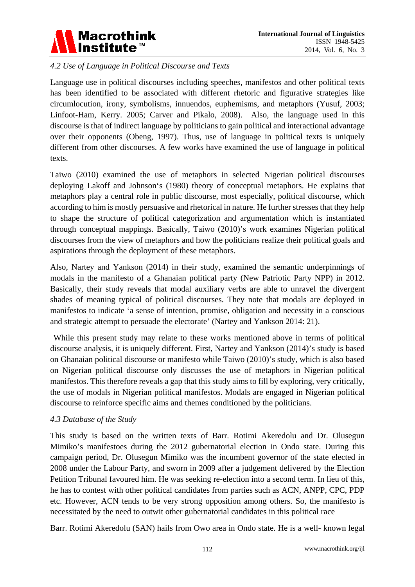

## *4.2 Use of Language in Political Discourse and Texts*

Language use in political discourses including speeches, manifestos and other political texts has been identified to be associated with different rhetoric and figurative strategies like circumlocution, irony, symbolisms, innuendos, euphemisms, and metaphors (Yusuf, 2003; Linfoot-Ham, Kerry. 2005; Carver and Pikalo, 2008). Also, the language used in this discourse is that of indirect language by politicians to gain political and interactional advantage over their opponents (Obeng, 1997). Thus, use of language in political texts is uniquely different from other discourses. A few works have examined the use of language in political texts.

Taiwo (2010) examined the use of metaphors in selected Nigerian political discourses deploying Lakoff and Johnson's (1980) theory of conceptual metaphors. He explains that metaphors play a central role in public discourse, most especially, political discourse, which according to him is mostly persuasive and rhetorical in nature. He further stresses that they help to shape the structure of political categorization and argumentation which is instantiated through conceptual mappings. Basically, Taiwo (2010)'s work examines Nigerian political discourses from the view of metaphors and how the politicians realize their political goals and aspirations through the deployment of these metaphors.

Also, Nartey and Yankson (2014) in their study, examined the semantic underpinnings of modals in the manifesto of a Ghanaian political party (New Patriotic Party NPP) in 2012. Basically, their study reveals that modal auxiliary verbs are able to unravel the divergent shades of meaning typical of political discourses. They note that modals are deployed in manifestos to indicate 'a sense of intention, promise, obligation and necessity in a conscious and strategic attempt to persuade the electorate' (Nartey and Yankson 2014: 21).

 While this present study may relate to these works mentioned above in terms of political discourse analysis, it is uniquely different. First, Nartey and Yankson (2014)'s study is based on Ghanaian political discourse or manifesto while Taiwo (2010)'s study, which is also based on Nigerian political discourse only discusses the use of metaphors in Nigerian political manifestos. This therefore reveals a gap that this study aims to fill by exploring, very critically, the use of modals in Nigerian political manifestos. Modals are engaged in Nigerian political discourse to reinforce specific aims and themes conditioned by the politicians.

## *4.3 Database of the Study*

This study is based on the written texts of Barr. Rotimi Akeredolu and Dr. Olusegun Mimiko's manifestoes during the 2012 gubernatorial election in Ondo state. During this campaign period, Dr. Olusegun Mimiko was the incumbent governor of the state elected in 2008 under the Labour Party, and sworn in 2009 after a judgement delivered by the Election Petition Tribunal favoured him. He was seeking re-election into a second term. In lieu of this, he has to contest with other political candidates from parties such as ACN, ANPP, CPC, PDP etc. However, ACN tends to be very strong opposition among others. So, the manifesto is necessitated by the need to outwit other gubernatorial candidates in this political race

Barr. Rotimi Akeredolu (SAN) hails from Owo area in Ondo state. He is a well- known legal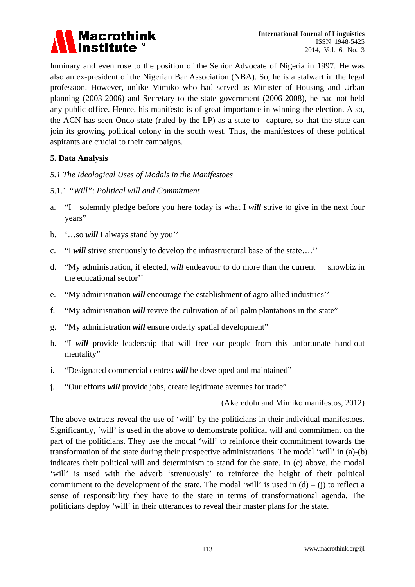

luminary and even rose to the position of the Senior Advocate of Nigeria in 1997. He was also an ex-president of the Nigerian Bar Association (NBA). So, he is a stalwart in the legal profession. However, unlike Mimiko who had served as Minister of Housing and Urban planning (2003-2006) and Secretary to the state government (2006-2008), he had not held any public office. Hence, his manifesto is of great importance in winning the election. Also, the ACN has seen Ondo state (ruled by the LP) as a state-to –capture, so that the state can join its growing political colony in the south west. Thus, the manifestoes of these political aspirants are crucial to their campaigns.

## **5. Data Analysis**

- *5.1 The Ideological Uses of Modals in the Manifestoes*
- 5.1.1 *"Will"*: *Political will and Commitment*
- a. "I solemnly pledge before you here today is what I *will* strive to give in the next four years"
- b. '…so *will* I always stand by you''
- c. "I *will* strive strenuously to develop the infrastructural base of the state….''
- d. "My administration, if elected, *will* endeavour to do more than the current showbiz in the educational sector''
- e. "My administration *will* encourage the establishment of agro-allied industries''
- f. "My administration *will* revive the cultivation of oil palm plantations in the state"
- g. "My administration *will* ensure orderly spatial development"
- h. "I *will* provide leadership that will free our people from this unfortunate hand-out mentality"
- i. "Designated commercial centres *will* be developed and maintained"
- j. "Our efforts *will* provide jobs, create legitimate avenues for trade"

(Akeredolu and Mimiko manifestos, 2012)

The above extracts reveal the use of 'will' by the politicians in their individual manifestoes. Significantly, 'will' is used in the above to demonstrate political will and commitment on the part of the politicians. They use the modal 'will' to reinforce their commitment towards the transformation of the state during their prospective administrations. The modal 'will' in (a)-(b) indicates their political will and determinism to stand for the state. In (c) above, the modal 'will' is used with the adverb 'strenuously' to reinforce the height of their political commitment to the development of the state. The modal 'will' is used in  $(d) - (i)$  to reflect a sense of responsibility they have to the state in terms of transformational agenda. The politicians deploy 'will' in their utterances to reveal their master plans for the state.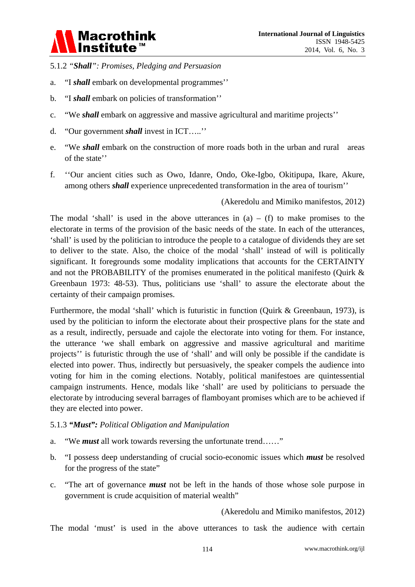

- 5.1.2 *"Shall": Promises, Pledging and Persuasion*
- a. "I *shall* embark on developmental programmes''
- b. "I *shall* embark on policies of transformation''
- c. "We *shall* embark on aggressive and massive agricultural and maritime projects''
- d. "Our government *shall* invest in ICT…..''
- e. "We *shall* embark on the construction of more roads both in the urban and rural areas of the state''
- f. ''Our ancient cities such as Owo, Idanre, Ondo, Oke-Igbo, Okitipupa, Ikare, Akure, among others *shall* experience unprecedented transformation in the area of tourism''

(Akeredolu and Mimiko manifestos, 2012)

The modal 'shall' is used in the above utterances in  $(a) - (f)$  to make promises to the electorate in terms of the provision of the basic needs of the state. In each of the utterances, 'shall' is used by the politician to introduce the people to a catalogue of dividends they are set to deliver to the state. Also, the choice of the modal 'shall' instead of will is politically significant. It foregrounds some modality implications that accounts for the CERTAINTY and not the PROBABILITY of the promises enumerated in the political manifesto (Quirk & Greenbaun 1973: 48-53). Thus, politicians use 'shall' to assure the electorate about the certainty of their campaign promises.

Furthermore, the modal 'shall' which is futuristic in function (Quirk & Greenbaun, 1973), is used by the politician to inform the electorate about their prospective plans for the state and as a result, indirectly, persuade and cajole the electorate into voting for them. For instance, the utterance 'we shall embark on aggressive and massive agricultural and maritime projects'' is futuristic through the use of 'shall' and will only be possible if the candidate is elected into power. Thus, indirectly but persuasively, the speaker compels the audience into voting for him in the coming elections. Notably, political manifestoes are quintessential campaign instruments. Hence, modals like 'shall' are used by politicians to persuade the electorate by introducing several barrages of flamboyant promises which are to be achieved if they are elected into power.

#### 5.1.3 *"Must": Political Obligation and Manipulation*

- a. "We *must* all work towards reversing the unfortunate trend……"
- b. "I possess deep understanding of crucial socio-economic issues which *must* be resolved for the progress of the state"
- c. "The art of governance *must* not be left in the hands of those whose sole purpose in government is crude acquisition of material wealth"

(Akeredolu and Mimiko manifestos, 2012)

The modal 'must' is used in the above utterances to task the audience with certain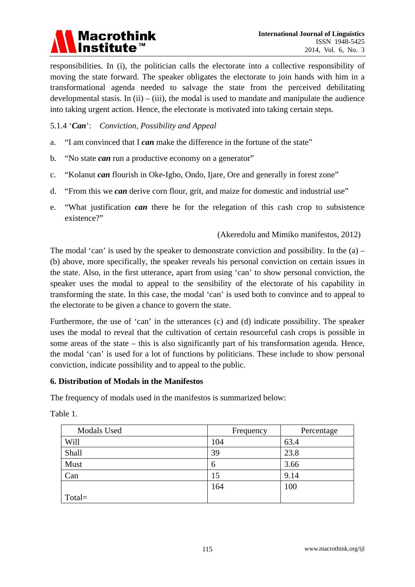

responsibilities. In (i), the politician calls the electorate into a collective responsibility of moving the state forward. The speaker obligates the electorate to join hands with him in a transformational agenda needed to salvage the state from the perceived debilitating developmental stasis. In  $(ii) - (iii)$ , the modal is used to mandate and manipulate the audience into taking urgent action. Hence, the electorate is motivated into taking certain steps.

#### 5.1.4 '*Can*': *Conviction, Possibility and Appeal*

- a. "I am convinced that I *can* make the difference in the fortune of the state"
- b. "No state *can* run a productive economy on a generator"
- c. "Kolanut *can* flourish in Oke-Igbo, Ondo, Ijare, Ore and generally in forest zone"
- d. "From this we *can* derive corn flour, grit, and maize for domestic and industrial use"
- e. "What justification *can* there be for the relegation of this cash crop to subsistence existence?"

#### (Akeredolu and Mimiko manifestos, 2012)

The modal 'can' is used by the speaker to demonstrate conviction and possibility. In the  $(a)$  – (b) above, more specifically, the speaker reveals his personal conviction on certain issues in the state. Also, in the first utterance, apart from using 'can' to show personal conviction, the speaker uses the modal to appeal to the sensibility of the electorate of his capability in transforming the state. In this case, the modal 'can' is used both to convince and to appeal to the electorate to be given a chance to govern the state.

Furthermore, the use of 'can' in the utterances (c) and (d) indicate possibility. The speaker uses the modal to reveal that the cultivation of certain resourceful cash crops is possible in some areas of the state – this is also significantly part of his transformation agenda. Hence, the modal 'can' is used for a lot of functions by politicians. These include to show personal conviction, indicate possibility and to appeal to the public.

## **6. Distribution of Modals in the Manifestos**

The frequency of modals used in the manifestos is summarized below:

| Modals Used | Frequency | Percentage |
|-------------|-----------|------------|
| Will        | 104       | 63.4       |
| Shall       | 39        | 23.8       |
| Must        | 6         | 3.66       |
| Can         | 15        | 9.14       |
|             | 164       | 100        |
| $Total =$   |           |            |

Table 1.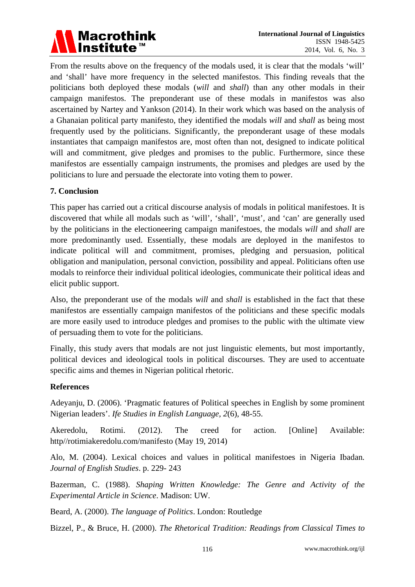

From the results above on the frequency of the modals used, it is clear that the modals 'will' and 'shall' have more frequency in the selected manifestos. This finding reveals that the politicians both deployed these modals (*will* and *shall*) than any other modals in their campaign manifestos. The preponderant use of these modals in manifestos was also ascertained by Nartey and Yankson (2014). In their work which was based on the analysis of a Ghanaian political party manifesto, they identified the modals *will* and *shall* as being most frequently used by the politicians. Significantly, the preponderant usage of these modals instantiates that campaign manifestos are, most often than not, designed to indicate political will and commitment, give pledges and promises to the public. Furthermore, since these manifestos are essentially campaign instruments, the promises and pledges are used by the politicians to lure and persuade the electorate into voting them to power.

## **7. Conclusion**

This paper has carried out a critical discourse analysis of modals in political manifestoes. It is discovered that while all modals such as 'will', 'shall', 'must', and 'can' are generally used by the politicians in the electioneering campaign manifestoes, the modals *will* and *shall* are more predominantly used. Essentially, these modals are deployed in the manifestos to indicate political will and commitment, promises, pledging and persuasion, political obligation and manipulation, personal conviction, possibility and appeal. Politicians often use modals to reinforce their individual political ideologies, communicate their political ideas and elicit public support.

Also, the preponderant use of the modals *will* and *shall* is established in the fact that these manifestos are essentially campaign manifestos of the politicians and these specific modals are more easily used to introduce pledges and promises to the public with the ultimate view of persuading them to vote for the politicians.

Finally, this study avers that modals are not just linguistic elements, but most importantly, political devices and ideological tools in political discourses. They are used to accentuate specific aims and themes in Nigerian political rhetoric.

## **References**

Adeyanju, D. (2006). 'Pragmatic features of Political speeches in English by some prominent Nigerian leaders'. *Ife Studies in English Language, 2*(6), 48-55.

Akeredolu, Rotimi. (2012). The creed for action. [Online] Available: http//rotimiakeredolu.com/manifesto (May 19, 2014)

Alo, M. (2004). Lexical choices and values in political manifestoes in Nigeria Ibadan*. Journal of English Studies*. p. 229- 243

Bazerman, C. (1988). *Shaping Written Knowledge: The Genre and Activity of the Experimental Article in Science*. Madison: UW.

Beard, A. (2000). *The language of Politics*. London: Routledge

Bizzel, P., & Bruce, H. (2000). *The Rhetorical Tradition: Readings from Classical Times to*